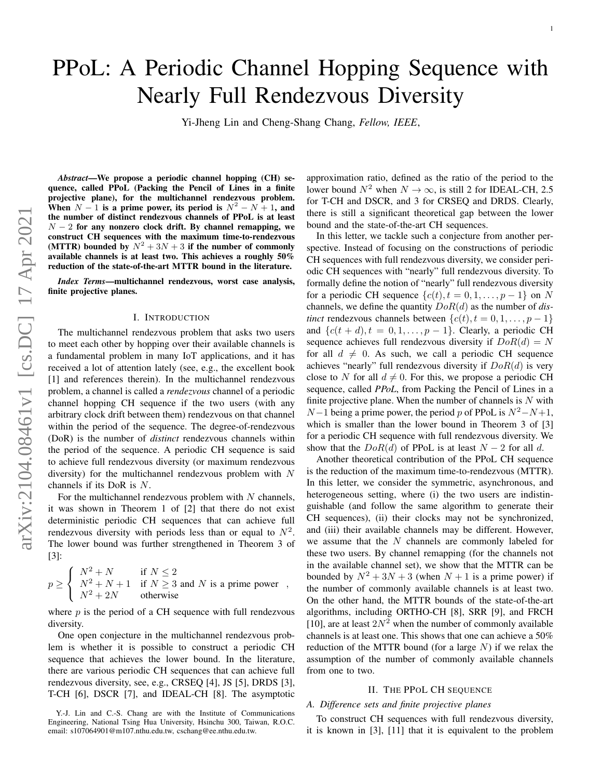# PPoL: A Periodic Channel Hopping Sequence with Nearly Full Rendezvous Diversity

Yi-Jheng Lin and Cheng-Shang Chang, *Fellow, IEEE*,

,

*Abstract*—We propose a periodic channel hopping (CH) sequence, called PPoL (Packing the Pencil of Lines in a finite projective plane), for the multichannel rendezvous problem. When  $N-1$  is a prime power, its period is  $N^2 - N + 1$ , and the number of distinct rendezvous channels of PPoL is at least  $N-2$  for any nonzero clock drift. By channel remapping, we construct CH sequences with the maximum time-to-rendezvous (MTTR) bounded by  $N^2 + 3N + 3$  if the number of commonly available channels is at least two. This achieves a roughly 50% reduction of the state-of-the-art MTTR bound in the literature.

*Index Terms*—multichannel rendezvous, worst case analysis, finite projective planes.

# I. INTRODUCTION

The multichannel rendezvous problem that asks two users to meet each other by hopping over their available channels is a fundamental problem in many IoT applications, and it has received a lot of attention lately (see, e.g., the excellent book [1] and references therein). In the multichannel rendezvous problem, a channel is called a *rendezvous* channel of a periodic channel hopping CH sequence if the two users (with any arbitrary clock drift between them) rendezvous on that channel within the period of the sequence. The degree-of-rendezvous (DoR) is the number of *distinct* rendezvous channels within the period of the sequence. A periodic CH sequence is said to achieve full rendezvous diversity (or maximum rendezvous diversity) for the multichannel rendezvous problem with  $N$ channels if its DoR is N.

For the multichannel rendezvous problem with  $N$  channels, it was shown in Theorem 1 of [2] that there do not exist deterministic periodic CH sequences that can achieve full rendezvous diversity with periods less than or equal to  $N^2$ . The lower bound was further strengthened in Theorem 3 of [3]:

$$
p \ge \begin{cases} N^2 + N & \text{if } N \le 2\\ N^2 + N + 1 & \text{if } N \ge 3 \text{ and } N \text{ is a prime power} \\ N^2 + 2N & \text{otherwise} \end{cases}
$$

where  $p$  is the period of a CH sequence with full rendezvous diversity.

One open conjecture in the multichannel rendezvous problem is whether it is possible to construct a periodic CH sequence that achieves the lower bound. In the literature, there are various periodic CH sequences that can achieve full rendezvous diversity, see, e.g., CRSEQ [4], JS [5], DRDS [3], T-CH [6], DSCR [7], and IDEAL-CH [8]. The asymptotic approximation ratio, defined as the ratio of the period to the lower bound  $N^2$  when  $N \to \infty$ , is still 2 for IDEAL-CH, 2.5 for T-CH and DSCR, and 3 for CRSEQ and DRDS. Clearly, there is still a significant theoretical gap between the lower bound and the state-of-the-art CH sequences.

In this letter, we tackle such a conjecture from another perspective. Instead of focusing on the constructions of periodic CH sequences with full rendezvous diversity, we consider periodic CH sequences with "nearly" full rendezvous diversity. To formally define the notion of "nearly" full rendezvous diversity for a periodic CH sequence  $\{c(t), t = 0, 1, \ldots, p-1\}$  on N channels, we define the quantity DoR(d) as the number of *distinct* rendezvous channels between  $\{c(t), t = 0, 1, \ldots, p-1\}$ and  $\{c(t + d), t = 0, 1, \ldots, p - 1\}$ . Clearly, a periodic CH sequence achieves full rendezvous diversity if  $DoR(d) = N$ for all  $d \neq 0$ . As such, we call a periodic CH sequence achieves "nearly" full rendezvous diversity if  $DoR(d)$  is very close to N for all  $d \neq 0$ . For this, we propose a periodic CH sequence, called *PPoL*, from Packing the Pencil of Lines in a finite projective plane. When the number of channels is  $N$  with  $N-1$  being a prime power, the period p of PPoL is  $N^2-N+1$ , which is smaller than the lower bound in Theorem 3 of [3] for a periodic CH sequence with full rendezvous diversity. We show that the  $DoR(d)$  of PPoL is at least  $N-2$  for all d.

Another theoretical contribution of the PPoL CH sequence is the reduction of the maximum time-to-rendezvous (MTTR). In this letter, we consider the symmetric, asynchronous, and heterogeneous setting, where (i) the two users are indistinguishable (and follow the same algorithm to generate their CH sequences), (ii) their clocks may not be synchronized, and (iii) their available channels may be different. However, we assume that the  $N$  channels are commonly labeled for these two users. By channel remapping (for the channels not in the available channel set), we show that the MTTR can be bounded by  $N^2 + 3N + 3$  (when  $N + 1$  is a prime power) if the number of commonly available channels is at least two. On the other hand, the MTTR bounds of the state-of-the-art algorithms, including ORTHO-CH [8], SRR [9], and FRCH [10], are at least  $2N^2$  when the number of commonly available channels is at least one. This shows that one can achieve a 50% reduction of the MTTR bound (for a large  $N$ ) if we relax the assumption of the number of commonly available channels from one to two.

#### II. THE PPOL CH SEQUENCE

# *A. Difference sets and finite projective planes*

To construct CH sequences with full rendezvous diversity, it is known in [3], [11] that it is equivalent to the problem

Y.-J. Lin and C.-S. Chang are with the Institute of Communications Engineering, National Tsing Hua University, Hsinchu 300, Taiwan, R.O.C. email: s107064901@m107.nthu.edu.tw, cschang@ee.nthu.edu.tw.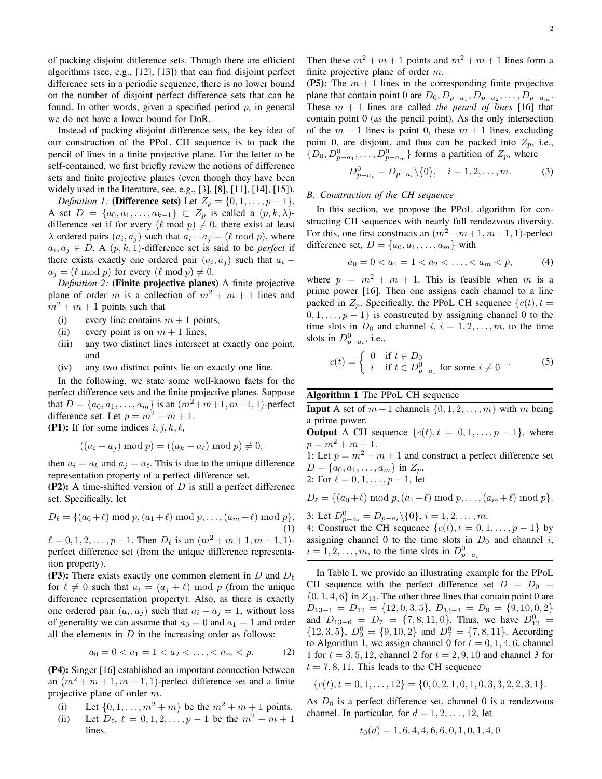of packing disjoint difference sets. Though there are efficient algorithms (see, e.g., [12], [13]) that can find disjoint perfect difference sets in a periodic sequence, there is no lower bound on the number of disjoint perfect difference sets that can be found. In other words, given a specified period  $p$ , in general we do not have a lower bound for DoR.

Instead of packing disjoint difference sets, the key idea of our construction of the PPoL CH sequence is to pack the pencil of lines in a finite projective plane. For the letter to be self-contained, we first briefly review the notions of difference sets and finite projective planes (even though they have been widely used in the literature, see, e.g., [3], [8], [11], [14], [15]).

*Definition 1:* (Difference sets) Let  $Z_p = \{0, 1, \ldots, p-1\}.$ A set  $D = \{a_0, a_1, \ldots, a_{k-1}\} \subset Z_p$  is called a  $(p, k, \lambda)$ difference set if for every ( $\ell$  mod  $p$ )  $\neq$  0, there exist at least  $\lambda$  ordered pairs  $(a_i, a_j)$  such that  $a_i - a_j = (\ell \mod p)$ , where  $a_i, a_j \in D$ . A  $(p, k, 1)$ -difference set is said to be *perfect* if there exists exactly one ordered pair  $(a_i, a_j)$  such that  $a_i$  –  $a_i = (\ell \mod p)$  for every  $(\ell \mod p) \neq 0$ .

*Definition 2:* (Finite projective planes) A finite projective plane of order m is a collection of  $m^2 + m + 1$  lines and  $m^2 + m + 1$  points such that

- (i) every line contains  $m + 1$  points,
- (ii) every point is on  $m + 1$  lines,
- (iii) any two distinct lines intersect at exactly one point, and
- (iv) any two distinct points lie on exactly one line.

In the following, we state some well-known facts for the perfect difference sets and the finite projective planes. Suppose that  $D = \{a_0, a_1, \ldots, a_m\}$  is an  $(m^2+m+1, m+1, 1)$ -perfect difference set. Let  $p = m^2 + m + 1$ .

(P1): If for some indices  $i, j, k, \ell$ ,

$$
((a_i - a_j) \bmod p) = ((a_k - a_\ell) \bmod p) \neq 0,
$$

then  $a_i = a_k$  and  $a_j = a_\ell$ . This is due to the unique difference representation property of a perfect difference set.

(P2): A time-shifted version of  $D$  is still a perfect difference set. Specifically, let

$$
D_{\ell} = \{(a_0 + \ell) \text{ mod } p, (a_1 + \ell) \text{ mod } p, \dots, (a_m + \ell) \text{ mod } p\},\tag{1}
$$

 $\ell = 0, 1, 2, \ldots, p - 1$ . Then  $D_{\ell}$  is an  $(m^2 + m + 1, m + 1, 1)$ perfect difference set (from the unique difference representation property).

(P3): There exists exactly one common element in D and  $D_{\ell}$ for  $\ell \neq 0$  such that  $a_i = (a_i + \ell) \mod p$  (from the unique difference representation property). Also, as there is exactly one ordered pair  $(a_i, a_j)$  such that  $a_i - a_j = 1$ , without loss of generality we can assume that  $a_0 = 0$  and  $a_1 = 1$  and order all the elements in  $D$  in the increasing order as follows:

$$
a_0 = 0 < a_1 = 1 < a_2 < \dots < a_m < p. \tag{2}
$$

(P4): Singer [16] established an important connection between an  $(m^2 + m + 1, m + 1, 1)$ -perfect difference set and a finite projective plane of order m.

- (i) Let  $\{0, 1, \ldots, m^2 + m\}$  be the  $m^2 + m + 1$  points.
- (ii) Let  $D_{\ell}$ ,  $\ell = 0, 1, 2, \ldots, p 1$  be the  $m^2 + m + 1$ lines.

Then these  $m^2 + m + 1$  points and  $m^2 + m + 1$  lines form a finite projective plane of order m.

(P5): The  $m + 1$  lines in the corresponding finite projective plane that contain point 0 are  $D_0, D_{p-a_1}, D_{p-a_2}, \ldots, D_{p-a_m}$ . These  $m + 1$  lines are called *the pencil of lines* [16] that contain point 0 (as the pencil point). As the only intersection of the  $m + 1$  lines is point 0, these  $m + 1$  lines, excluding point 0, are disjoint, and thus can be packed into  $Z_p$ , i.e.,  $\{D_0, D_{p-a_1}^0, \ldots, D_{p-a_m}^0\}$  forms a partition of  $Z_p$ , where

$$
D_{p-a_i}^0 = D_{p-a_i} \setminus \{0\}, \quad i = 1, 2, \dots, m. \tag{3}
$$

# *B. Construction of the CH sequence*

In this section, we propose the PPoL algorithm for constructing CH sequences with nearly full rendezvous diversity. For this, one first constructs an  $(m^2 + m + 1, m + 1, 1)$ -perfect difference set,  $D = \{a_0, a_1, \ldots, a_m\}$  with

$$
a_0 = 0 < a_1 = 1 < a_2 < \dots < a_m < p,\tag{4}
$$

where  $p = m^2 + m + 1$ . This is feasible when m is a prime power [16]. Then one assigns each channel to a line packed in  $Z_p$ . Specifically, the PPoL CH sequence  $\{c(t), t =$  $0, 1, \ldots, p-1$  is constrcuted by assigning channel 0 to the time slots in  $D_0$  and channel i,  $i = 1, 2, \ldots, m$ , to the time slots in  $D_{p-a_i}^0$ , i.e.,

$$
c(t) = \begin{cases} 0 & \text{if } t \in D_0 \\ i & \text{if } t \in D_{p-a_i}^0 \text{ for some } i \neq 0 \end{cases}
$$
 (5)

Algorithm 1 The PPoL CH sequence

**Input** A set of  $m+1$  channels  $\{0, 1, 2, \ldots, m\}$  with m being a prime power.

**Output** A CH sequence  $\{c(t), t = 0, 1, \ldots, p-1\}$ , where  $p = m^2 + m + 1.$ 

1: Let  $p = m^2 + m + 1$  and construct a perfect difference set  $D = \{a_0, a_1, \ldots, a_m\}$  in  $Z_p$ .

2: For  $\ell = 0, 1, \ldots, p - 1$ , let

$$
D_{\ell} = \{(a_0 + \ell) \bmod p, (a_1 + \ell) \bmod p, \dots, (a_m + \ell) \bmod p\}.
$$

3: Let  $D_{p-a_i}^0 = D_{p-a_i} \setminus \{0\}, i = 1, 2, \ldots, m$ .

4: Construct the CH sequence  $\{c(t), t = 0, 1, \ldots, p - 1\}$  by assigning channel 0 to the time slots in  $D_0$  and channel i,  $i = 1, 2, \dots, m$ , to the time slots in  $D_{p-a_i}^0$ 

In Table I, we provide an illustrating example for the PPoL CH sequence with the perfect difference set  $D = D_0 =$  $\{0, 1, 4, 6\}$  in  $Z_{13}$ . The other three lines that contain point 0 are  $D_{13-1} = D_{12} = \{12, 0, 3, 5\}, D_{13-4} = D_9 = \{9, 10, 0, 2\}$ and  $D_{13-6} = D_7 = \{7, 8, 11, 0\}$ . Thus, we have  $D_{12}^0 =$  $\{12, 3, 5\}, D_9^0 = \{9, 10, 2\}$  and  $D_7^0 = \{7, 8, 11\}.$  According to Algorithm 1, we assign channel 0 for  $t = 0, 1, 4, 6$ , channel 1 for  $t = 3, 5, 12$ , channel 2 for  $t = 2, 9, 10$  and channel 3 for  $t = 7, 8, 11$ . This leads to the CH sequence

$$
\{c(t), t = 0, 1, \dots, 12\} = \{0, 0, 2, 1, 0, 1, 0, 3, 3, 2, 2, 3, 1\}.
$$

As  $D_0$  is a perfect difference set, channel 0 is a rendezvous channel. In particular, for  $d = 1, 2, \ldots, 12$ , let

$$
t_0(d) = 1, 6, 4, 4, 6, 6, 0, 1, 0, 1, 4, 0
$$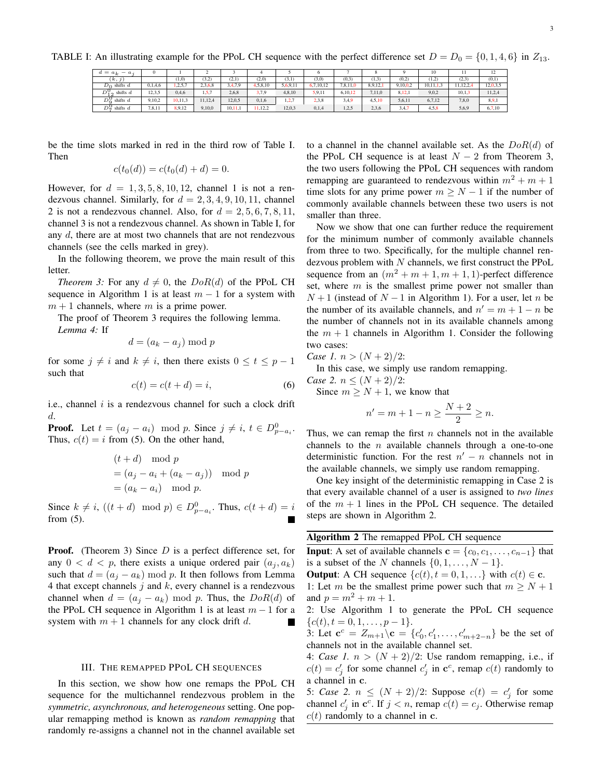TABLE I: An illustrating example for the PPoL CH sequence with the perfect difference set  $D = D_0 = \{0, 1, 4, 6\}$  in  $Z_{13}$ .

| $d = a_L$    | $-$ a                |         |           |         |         |          |          |           |          |         |          | 10        |          | 12       |
|--------------|----------------------|---------|-----------|---------|---------|----------|----------|-----------|----------|---------|----------|-----------|----------|----------|
|              | (k, y)               |         | (1,0)     | (3,2)   | (2,1)   | (2,0)    | (3,1)    | (3,0)     | (0,3)    | (1,3)   | (0,2)    | (1,2)     | (2,3)    | (0,1)    |
| $D_0$        | shifts $d$           | 0,1,4,6 | , 2, 5, 7 | 2,3,6,8 | 3,4,7,9 | 4,5,8,10 | 5,6,9,11 | 6.7.10.12 | 7,8,11,0 | 8,9,12, | 9,10,0.2 | 10.11.1.3 | 11.12.2. | 12,0,3,5 |
| $D_2^{\vee}$ | shifts $d$<br>$\sim$ | 12.3.5  | 0,4,6     | 1, 5, 7 | 2,6,8   | 3.7,9    | 4,8,10   | 5,9,11    | 6.10.12  | 7,11,0  | 8,12,1   | 9,0,2     | 10, 1, 3 | 11,2,4   |
| $D_0^{\vee}$ | shifts $d$           | 9,10,2  | 10,11,3   | 11.12.4 | 12,0,5  | 0,1,6    | 1,2,7    | 2,3,8     | 3,4,9    | 4,5,10  | 5,6,11   | 6,7,12    | 7,8,0    | 8,9,1    |
| D≌           | shifts $d$           | 7,8,11  | 8,9,12    | 9,10,0  | 10.11.1 | 1.12.2   | 12,0,3   | 0,1,4     | 1,2,5    | 2,3,6   | 3,4,7    | 4,5,8     | 5,6,9    | 6,7,10   |

be the time slots marked in red in the third row of Table I. Then

$$
c(t_0(d)) = c(t_0(d) + d) = 0.
$$

However, for  $d = 1, 3, 5, 8, 10, 12$ , channel 1 is not a rendezvous channel. Similarly, for  $d = 2, 3, 4, 9, 10, 11$ , channel 2 is not a rendezvous channel. Also, for  $d = 2, 5, 6, 7, 8, 11$ , channel 3 is not a rendezvous channel. As shown in Table I, for any d, there are at most two channels that are not rendezvous channels (see the cells marked in grey).

In the following theorem, we prove the main result of this letter.

*Theorem 3:* For any  $d \neq 0$ , the  $DoR(d)$  of the PPoL CH sequence in Algorithm 1 is at least  $m - 1$  for a system with  $m + 1$  channels, where m is a prime power.

The proof of Theorem 3 requires the following lemma. *Lemma 4:* If

$$
d = (a_k - a_j) \bmod p
$$

for some  $j \neq i$  and  $k \neq i$ , then there exists  $0 \leq t \leq p-1$ such that

$$
c(t) = c(t + d) = i,\t\t(6)
$$

i.e., channel  $i$  is a rendezvous channel for such a clock drift d.

**Proof.** Let  $t = (a_j - a_i) \mod p$ . Since  $j \neq i$ ,  $t \in D_{p-a_i}^0$ . Thus,  $c(t) = i$  from (5). On the other hand,

$$
(t + d) \mod p
$$
  
=  $(a_j - a_i + (a_k - a_j)) \mod p$   
=  $(a_k - a_i) \mod p$ .

Since  $k \neq i$ ,  $((t + d) \mod p) \in D_{p-a_i}^0$ . Thus,  $c(t + d) = i$ from (5).

**Proof.** (Theorem 3) Since  $D$  is a perfect difference set, for any  $0 < d < p$ , there exists a unique ordered pair  $(a_i, a_k)$ such that  $d = (a_i - a_k) \bmod p$ . It then follows from Lemma 4 that except channels  $j$  and  $k$ , every channel is a rendezvous channel when  $d = (a_j - a_k) \text{ mod } p$ . Thus, the  $DoR(d)$  of the PPoL CH sequence in Algorithm 1 is at least  $m - 1$  for a system with  $m + 1$  channels for any clock drift d. **The Second Service** 

## III. THE REMAPPED PPOL CH SEQUENCES

In this section, we show how one remaps the PPoL CH sequence for the multichannel rendezvous problem in the *symmetric, asynchronous, and heterogeneous* setting. One popular remapping method is known as *random remapping* that randomly re-assigns a channel not in the channel available set to a channel in the channel available set. As the  $DoR(d)$  of the PPoL CH sequence is at least  $N - 2$  from Theorem 3, the two users following the PPoL CH sequences with random remapping are guaranteed to rendezvous within  $m^2 + m + 1$ time slots for any prime power  $m \ge N - 1$  if the number of commonly available channels between these two users is not smaller than three.

Now we show that one can further reduce the requirement for the minimum number of commonly available channels from three to two. Specifically, for the multiple channel rendezvous problem with  $N$  channels, we first construct the PPoL sequence from an  $(m^2 + m + 1, m + 1, 1)$ -perfect difference set, where  $m$  is the smallest prime power not smaller than  $N+1$  (instead of  $N-1$  in Algorithm 1). For a user, let n be the number of its available channels, and  $n' = m + 1 - n$  be the number of channels not in its available channels among the  $m + 1$  channels in Algorithm 1. Consider the following two cases:

*Case 1.*  $n > (N+2)/2$ :

In this case, we simply use random remapping.

*Case 2.*  $n \leq (N+2)/2$ :

Since  $m \geq N + 1$ , we know that

$$
n'=m+1-n\geq \frac{N+2}{2}\geq n.
$$

Thus, we can remap the first  $n$  channels not in the available channels to the  $n$  available channels through a one-to-one deterministic function. For the rest  $n' - n$  channels not in the available channels, we simply use random remapping.

One key insight of the deterministic remapping in Case 2 is that every available channel of a user is assigned to *two lines* of the  $m + 1$  lines in the PPoL CH sequence. The detailed steps are shown in Algorithm 2.

# Algorithm 2 The remapped PPoL CH sequence

**Input:** A set of available channels  $\mathbf{c} = \{c_0, c_1, \ldots, c_{n-1}\}\)$  that is a subset of the N channels  $\{0, 1, \ldots, N-1\}.$ **Output:** A CH sequence  $\{c(t), t = 0, 1, ...\}$  with  $c(t) \in \mathbf{c}$ .

1: Let m be the smallest prime power such that  $m \ge N + 1$ and  $p = m^2 + m + 1$ .

2: Use Algorithm 1 to generate the PPoL CH sequence  ${c(t), t = 0, 1, \ldots, p-1}.$ 

3: Let  $c^c = Z_{m+1} \backslash c = \{c'_0, c'_1, \ldots, c'_{m+2-n}\}\$  be the set of channels not in the available channel set.

4: *Case 1.*  $n > (N + 2)/2$ : Use random remapping, i.e., if  $c(t) = c'_j$  for some channel  $c'_j$  in  $\mathbf{c}^c$ , remap  $c(t)$  randomly to a channel in c.

5: *Case 2.*  $n \leq (N+2)/2$ : Suppose  $c(t) = c'_j$  for some channel  $c'_j$  in  $\mathbf{c}^c$ . If  $j < n$ , remap  $c(t) = c_j$ . Otherwise remap  $c(t)$  randomly to a channel in c.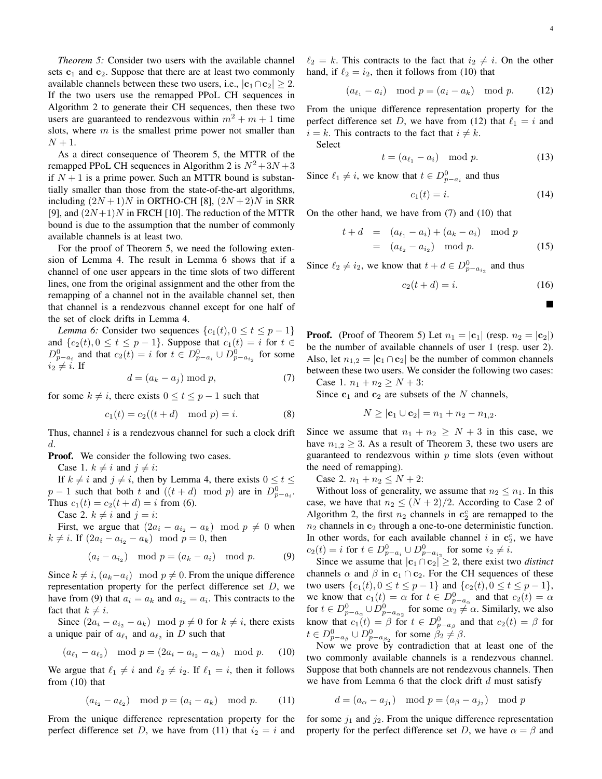*Theorem 5:* Consider two users with the available channel sets  $c_1$  and  $c_2$ . Suppose that there are at least two commonly available channels between these two users, i.e.,  $|c_1 \cap c_2| \geq 2$ . If the two users use the remapped PPoL CH sequences in Algorithm 2 to generate their CH sequences, then these two users are guaranteed to rendezvous within  $m^2 + m + 1$  time slots, where  $m$  is the smallest prime power not smaller than  $N+1$ .

As a direct consequence of Theorem 5, the MTTR of the remapped PPoL CH sequences in Algorithm 2 is  $N^2 + 3N + 3$ if  $N + 1$  is a prime power. Such an MTTR bound is substantially smaller than those from the state-of-the-art algorithms, including  $(2N+1)N$  in ORTHO-CH [8],  $(2N+2)N$  in SRR [9], and  $(2N+1)N$  in FRCH [10]. The reduction of the MTTR bound is due to the assumption that the number of commonly available channels is at least two.

For the proof of Theorem 5, we need the following extension of Lemma 4. The result in Lemma 6 shows that if a channel of one user appears in the time slots of two different lines, one from the original assignment and the other from the remapping of a channel not in the available channel set, then that channel is a rendezvous channel except for one half of the set of clock drifts in Lemma 4.

*Lemma 6:* Consider two sequences  $\{c_1(t), 0 \le t \le p-1\}$ and  $\{c_2(t), 0 \le t \le p-1\}$ . Suppose that  $c_1(t) = i$  for  $t \in$  $D_{p-a_i}^0$  and that  $c_2(t) = i$  for  $t \in D_{p-a_i}^0 \cup D_{p-a_{i_2}}^0$  for some  $i_2 \neq i$ . If

$$
d = (a_k - a_j) \bmod p,\tag{7}
$$

for some  $k \neq i$ , there exists  $0 \leq t \leq p-1$  such that

$$
c_1(t) = c_2((t + d) \mod p) = i.
$$
 (8)

Thus, channel  $i$  is a rendezvous channel for such a clock drift d.

**Proof.** We consider the following two cases.

Case 1.  $k \neq i$  and  $j \neq i$ :

If  $k \neq i$  and  $j \neq i$ , then by Lemma 4, there exists  $0 \leq t \leq$  $p-1$  such that both t and  $((t + d) \mod p)$  are in  $D_{p-a_i}^0$ . Thus  $c_1(t) = c_2(t + d) = i$  from (6).

Case 2.  $k \neq i$  and  $j = i$ :

First, we argue that  $(2a_i - a_{i_2} - a_k) \mod p \neq 0$  when  $k \neq i$ . If  $(2a_i - a_{i_2} - a_k) \mod p = 0$ , then

$$
(a_i - a_{i_2}) \mod p = (a_k - a_i) \mod p.
$$
 (9)

Since  $k \neq i$ ,  $(a_k-a_i) \mod p \neq 0$ . From the unique difference representation property for the perfect difference set  $D$ , we have from (9) that  $a_i = a_k$  and  $a_{i_2} = a_i$ . This contracts to the fact that  $k \neq i$ .

Since  $(2a_i - a_{i2} - a_k) \mod p \neq 0$  for  $k \neq i$ , there exists a unique pair of  $a_{\ell_1}$  and  $a_{\ell_2}$  in D such that

$$
(a_{\ell_1} - a_{\ell_2}) \mod p = (2a_i - a_{i_2} - a_k) \mod p.
$$
 (10)

We argue that  $\ell_1 \neq i$  and  $\ell_2 \neq i_2$ . If  $\ell_1 = i$ , then it follows from (10) that

$$
(a_{i_2} - a_{\ell_2}) \mod p = (a_i - a_k) \mod p.
$$
 (11)

From the unique difference representation property for the perfect difference set D, we have from (11) that  $i_2 = i$  and  $\blacksquare$ 

 $\ell_2 = k$ . This contracts to the fact that  $i_2 \neq i$ . On the other hand, if  $\ell_2 = i_2$ , then it follows from (10) that

$$
(a_{\ell_1} - a_i) \mod p = (a_i - a_k) \mod p. \tag{12}
$$

From the unique difference representation property for the perfect difference set D, we have from (12) that  $\ell_1 = i$  and  $i = k$ . This contracts to the fact that  $i \neq k$ . Select

$$
t = (a_{\ell_1} - a_i) \mod p. \tag{13}
$$

Since  $\ell_1 \neq i$ , we know that  $t \in D_{p-a_i}^0$  and thus

$$
c_1(t) = i. \tag{14}
$$

On the other hand, we have from (7) and (10) that

$$
t + d = (a_{\ell_1} - a_i) + (a_k - a_i) \mod p
$$
  
=  $(a_{\ell_2} - a_{i_2}) \mod p.$  (15)

Since  $\ell_2 \neq i_2$ , we know that  $t + d \in D^0_{p-a_{i_2}}$  and thus

$$
c_2(t+d) = i.\t(16)
$$

**Proof.** (Proof of Theorem 5) Let  $n_1 = |\mathbf{c}_1|$  (resp.  $n_2 = |\mathbf{c}_2|$ ) be the number of available channels of user 1 (resp. user 2). Also, let  $n_{1,2} = |\mathbf{c}_1 \cap \mathbf{c}_2|$  be the number of common channels between these two users. We consider the following two cases: Case 1.  $n_1 + n_2 \ge N + 3$ :

Since  $c_1$  and  $c_2$  are subsets of the N channels,

 $N > |c_1 \cup c_2| = n_1 + n_2 - n_{1,2}.$ 

Since we assume that  $n_1 + n_2 \geq N + 3$  in this case, we have  $n_{1,2} \geq 3$ . As a result of Theorem 3, these two users are guaranteed to rendezvous within  $p$  time slots (even without the need of remapping).

Case 2.  $n_1 + n_2 \leq N + 2$ :

Without loss of generality, we assume that  $n_2 \leq n_1$ . In this case, we have that  $n_2 \leq (N+2)/2$ . According to Case 2 of Algorithm 2, the first  $n_2$  channels in  $\mathbf{c}_2^c$  are remapped to the  $n_2$  channels in  $c_2$  through a one-to-one deterministic function. In other words, for each available channel i in  $c_2^c$ , we have  $c_2(t) = i$  for  $t \in D_{p-a_i}^0 \cup D_{p-a_{i_2}}^0$  for some  $i_2 \neq i$ .

Since we assume that  $|c_1 \cap c_2| \geq 2$ , there exist two *distinct* channels  $\alpha$  and  $\beta$  in  $c_1 \cap c_2$ . For the CH sequences of these two users  $\{c_1(t), 0 \le t \le p-1\}$  and  $\{c_2(t), 0 \le t \le p-1\}$ , we know that  $c_1(t) = \alpha$  for  $t \in D^0_{p-a_{\alpha}}$  and that  $c_2(t) = \alpha$ for  $t \in D_{p-a_{\alpha}}^0 \cup D_{p-a_{\alpha_2}}^0$  for some  $\alpha_2 \neq \alpha$ . Similarly, we also know that  $c_1(t) = \beta$  for  $t \in D^0_{p-a_{\beta}}$  and that  $c_2(t) = \beta$  for  $t \in D_{p-a_{\beta}}^0 \cup D_{p-a_{\beta_2}}^0$  for some  $\beta_2 \neq \beta$ .

Now we prove by contradiction that at least one of the two commonly available channels is a rendezvous channel. Suppose that both channels are not rendezvous channels. Then we have from Lemma 6 that the clock drift  $d$  must satisfy

$$
d = (a_{\alpha} - a_{j_1}) \mod p = (a_{\beta} - a_{j_2}) \mod p
$$

for some  $j_1$  and  $j_2$ . From the unique difference representation property for the perfect difference set D, we have  $\alpha = \beta$  and